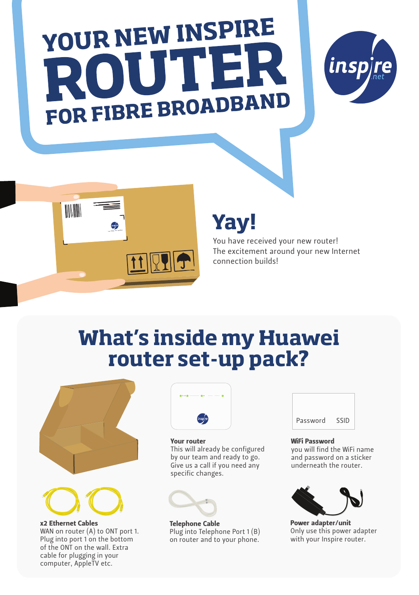# YOUR NEW INSPIRE FOR FIBRE BROADBAND





## **Yay!**

You have received your new router! The excitement around your new Internet connection builds!

## **What's inside my Huawei router set-up pack?**



x2 Ethernet Cables WAN on router (A) to ONT port 1. Plug into port 1 on the bottom of the ONT on the wall. Extra cable for plugging in your computer, AppleTV etc.



### Your router

This will already be configured by our team and ready to go. Give us a call if you need any specific changes.



Telephone Cable Plug into Telephone Port 1 (B) on router and to your phone.



### WiFi Password

you will find the WiFi name and password on a sticker underneath the router.



Power adapter/unit Only use this power adapter with your Inspire router.